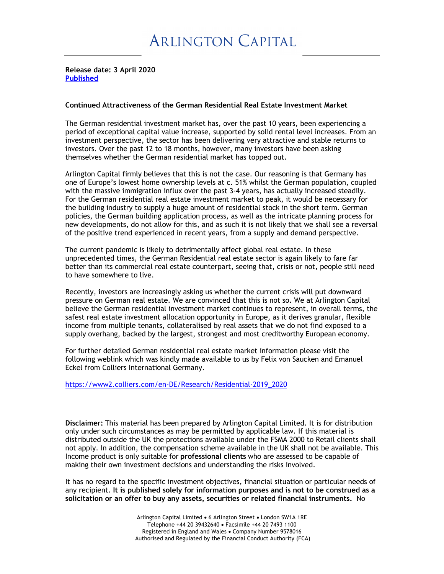**Release date: 3 April 2020 Published**

## **Continued Attractiveness of the German Residential Real Estate Investment Market**

The German residential investment market has, over the past 10 years, been experiencing a period of exceptional capital value increase, supported by solid rental level increases. From an investment perspective, the sector has been delivering very attractive and stable returns to investors. Over the past 12 to 18 months, however, many investors have been asking themselves whether the German residential market has topped out.

Arlington Capital firmly believes that this is not the case. Our reasoning is that Germany has one of Europe's lowest home ownership levels at c. 51% whilst the German population, coupled with the massive immigration influx over the past 3-4 years, has actually increased steadily. For the German residential real estate investment market to peak, it would be necessary for the building industry to supply a huge amount of residential stock in the short term. German policies, the German building application process, as well as the intricate planning process for new developments, do not allow for this, and as such it is not likely that we shall see a reversal of the positive trend experienced in recent years, from a supply and demand perspective.

The current pandemic is likely to detrimentally affect global real estate. In these unprecedented times, the German Residential real estate sector is again likely to fare far better than its commercial real estate counterpart, seeing that, crisis or not, people still need to have somewhere to live.

Recently, investors are increasingly asking us whether the current crisis will put downward pressure on German real estate. We are convinced that this is not so. We at Arlington Capital believe the German residential investment market continues to represent, in overall terms, the safest real estate investment allocation opportunity in Europe, as it derives granular, flexible income from multiple tenants, collateralised by real assets that we do not find exposed to a supply overhang, backed by the largest, strongest and most creditworthy European economy.

For further detailed German residential real estate market information please visit the following weblink which was kindly made available to us by Felix von Saucken and Emanuel Eckel from Colliers International Germany.

https://www2.colliers.com/en-DE/Research/Residential-2019\_2020

**Disclaimer:** This material has been prepared by Arlington Capital Limited. It is for distribution only under such circumstances as may be permitted by applicable law. If this material is distributed outside the UK the protections available under the FSMA 2000 to Retail clients shall not apply. In addition, the compensation scheme available in the UK shall not be available. This Income product is only suitable for **professional clients** who are assessed to be capable of making their own investment decisions and understanding the risks involved.

It has no regard to the specific investment objectives, financial situation or particular needs of any recipient. **It is published solely for information purposes and is not to be construed as a solicitation or an offer to buy any assets, securities or related financial instruments.** No